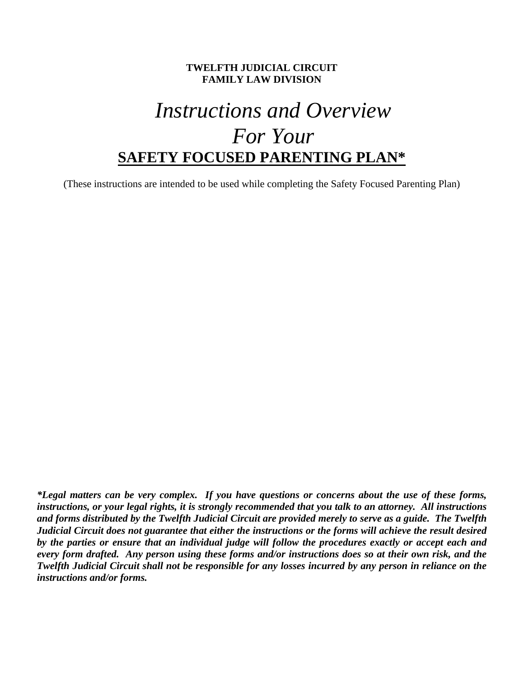# **TWELFTH JUDICIAL CIRCUIT FAMILY LAW DIVISION**

# *Instructions and Overview For Your*  **SAFETY FOCUSED PARENTING PLAN\***

(These instructions are intended to be used while completing the Safety Focused Parenting Plan)

*\*Legal matters can be very complex. If you have questions or concerns about the use of these forms, instructions, or your legal rights, it is strongly recommended that you talk to an attorney. All instructions and forms distributed by the Twelfth Judicial Circuit are provided merely to serve as a guide. The Twelfth Judicial Circuit does not guarantee that either the instructions or the forms will achieve the result desired by the parties or ensure that an individual judge will follow the procedures exactly or accept each and every form drafted. Any person using these forms and/or instructions does so at their own risk, and the Twelfth Judicial Circuit shall not be responsible for any losses incurred by any person in reliance on the instructions and/or forms.*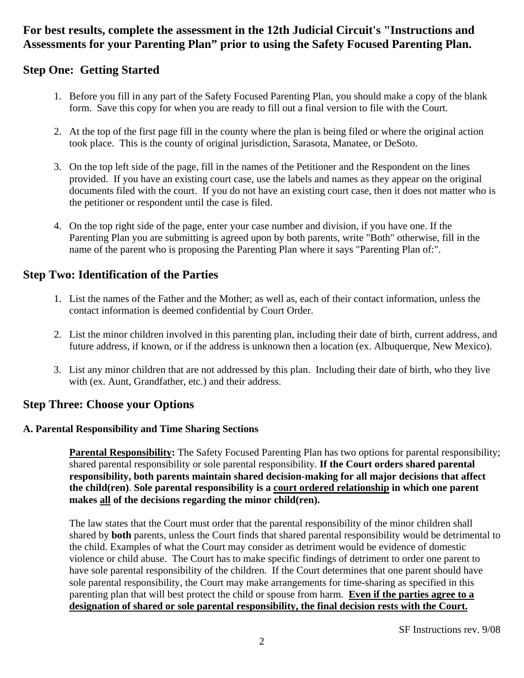# **For best results, complete the assessment in the 12th Judicial Circuit's "Instructions and Assessments for your Parenting Plan" prior to using the Safety Focused Parenting Plan.**

# **Step One: Getting Started**

- 1. Before you fill in any part of the Safety Focused Parenting Plan, you should make a copy of the blank form. Save this copy for when you are ready to fill out a final version to file with the Court.
- 2. At the top of the first page fill in the county where the plan is being filed or where the original action took place. This is the county of original jurisdiction, Sarasota, Manatee, or DeSoto.
- 3. On the top left side of the page, fill in the names of the Petitioner and the Respondent on the lines provided. If you have an existing court case, use the labels and names as they appear on the original documents filed with the court. If you do not have an existing court case, then it does not matter who is the petitioner or respondent until the case is filed.
- 4. On the top right side of the page, enter your case number and division, if you have one. If the Parenting Plan you are submitting is agreed upon by both parents, write "Both" otherwise, fill in the name of the parent who is proposing the Parenting Plan where it says "Parenting Plan of:".

# **Step Two: Identification of the Parties**

- 1. List the names of the Father and the Mother; as well as, each of their contact information, unless the contact information is deemed confidential by Court Order.
- 2. List the minor children involved in this parenting plan, including their date of birth, current address, and future address, if known, or if the address is unknown then a location (ex. Albuquerque, New Mexico).
- 3. List any minor children that are not addressed by this plan. Including their date of birth, who they live with (ex. Aunt, Grandfather, etc.) and their address.

# **Step Three: Choose your Options**

# **A. Parental Responsibility and Time Sharing Sections**

**Parental Responsibility:** The Safety Focused Parenting Plan has two options for parental responsibility; shared parental responsibility or sole parental responsibility. **If the Court orders shared parental responsibility, both parents maintain shared decision-making for all major decisions that affect the child(ren)**. **Sole parental responsibility is a court ordered relationship in which one parent makes all of the decisions regarding the minor child(ren).** 

 The law states that the Court must order that the parental responsibility of the minor children shall shared by **both** parents, unless the Court finds that shared parental responsibility would be detrimental to the child. Examples of what the Court may consider as detriment would be evidence of domestic violence or child abuse. The Court has to make specific findings of detriment to order one parent to have sole parental responsibility of the children. If the Court determines that one parent should have sole parental responsibility, the Court may make arrangements for time-sharing as specified in this parenting plan that will best protect the child or spouse from harm. **Even if the parties agree to a designation of shared or sole parental responsibility, the final decision rests with the Court.**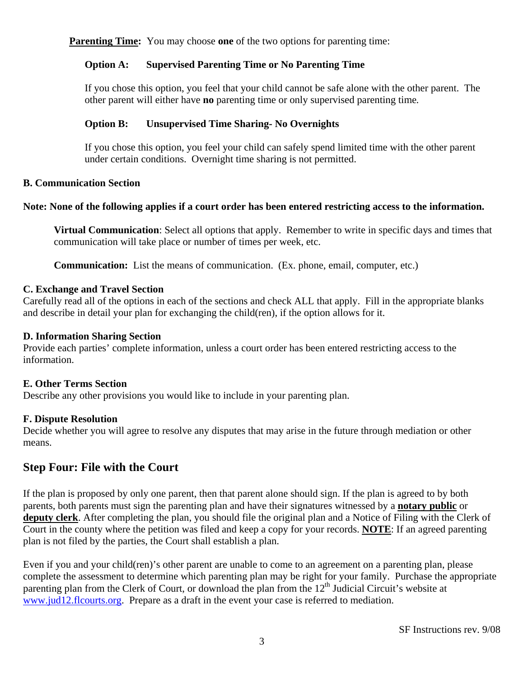**Parenting Time:** You may choose **one** of the two options for parenting time:

# **Option A: Supervised Parenting Time or No Parenting Time**

If you chose this option, you feel that your child cannot be safe alone with the other parent. The other parent will either have **no** parenting time or only supervised parenting time*.*

# **Option B: Unsupervised Time Sharing- No Overnights**

If you chose this option, you feel your child can safely spend limited time with the other parent under certain conditions. Overnight time sharing is not permitted.

# **B. Communication Section**

# **Note: None of the following applies if a court order has been entered restricting access to the information.**

**Virtual Communication**: Select all options that apply. Remember to write in specific days and times that communication will take place or number of times per week, etc.

**Communication:** List the means of communication. (Ex. phone, email, computer, etc.)

# **C. Exchange and Travel Section**

Carefully read all of the options in each of the sections and check ALL that apply. Fill in the appropriate blanks and describe in detail your plan for exchanging the child(ren), if the option allows for it.

#### **D. Information Sharing Section**

Provide each parties' complete information, unless a court order has been entered restricting access to the information.

# **E. Other Terms Section**

Describe any other provisions you would like to include in your parenting plan.

# **F. Dispute Resolution**

Decide whether you will agree to resolve any disputes that may arise in the future through mediation or other means.

# **Step Four: File with the Court**

If the plan is proposed by only one parent, then that parent alone should sign. If the plan is agreed to by both parents, both parents must sign the parenting plan and have their signatures witnessed by a **notary public** or **deputy clerk**. After completing the plan, you should file the original plan and a Notice of Filing with the Clerk of Court in the county where the petition was filed and keep a copy for your records. **NOTE**: If an agreed parenting plan is not filed by the parties, the Court shall establish a plan.

Even if you and your child(ren)'s other parent are unable to come to an agreement on a parenting plan, please complete the assessment to determine which parenting plan may be right for your family. Purchase the appropriate parenting plan from the Clerk of Court, or download the plan from the 12<sup>th</sup> Judicial Circuit's website at www.jud12.flcourts.org. Prepare as a draft in the event your case is referred to mediation.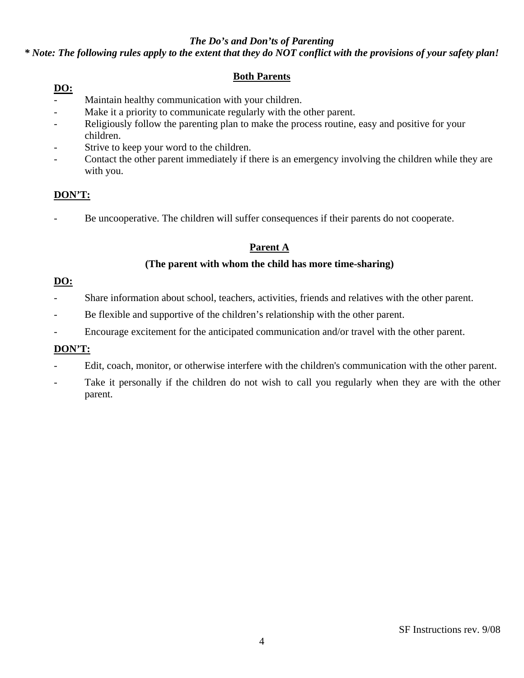# *The Do's and Don'ts of Parenting*

# *\* Note: The following rules apply to the extent that they do NOT conflict with the provisions of your safety plan!*

# **Both Parents**

# **DO:**

- Maintain healthy communication with your children.
- Make it a priority to communicate regularly with the other parent.
- Religiously follow the parenting plan to make the process routine, easy and positive for your children.
- Strive to keep your word to the children.
- Contact the other parent immediately if there is an emergency involving the children while they are with you.

# **DON'T:**

Be uncooperative. The children will suffer consequences if their parents do not cooperate.

# **Parent A**

# **(The parent with whom the child has more time-sharing)**

# **DO:**

- Share information about school, teachers, activities, friends and relatives with the other parent.
- Be flexible and supportive of the children's relationship with the other parent.
- Encourage excitement for the anticipated communication and/or travel with the other parent.

# **DON'T:**

- Edit, coach, monitor, or otherwise interfere with the children's communication with the other parent.
- Take it personally if the children do not wish to call you regularly when they are with the other parent.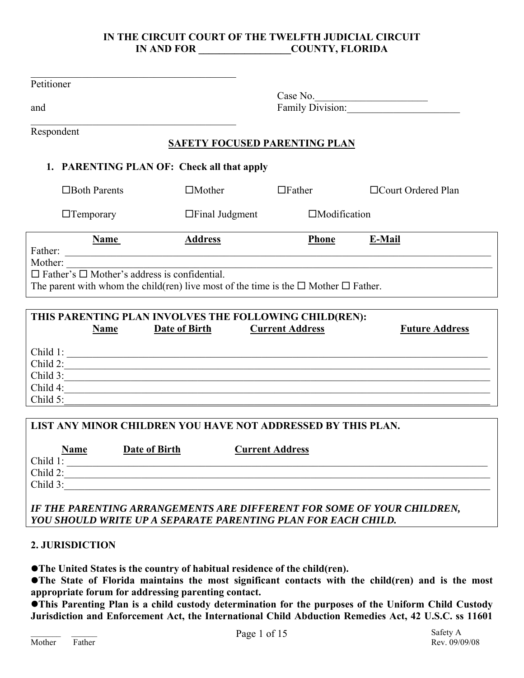# **IN THE CIRCUIT COURT OF THE TWELFTH JUDICIAL CIRCUIT IN AND FOR COUNTY, FLORIDA**

| Petitioner  |                                                                 |                                                                                                     |                        |                       |
|-------------|-----------------------------------------------------------------|-----------------------------------------------------------------------------------------------------|------------------------|-----------------------|
|             |                                                                 |                                                                                                     |                        |                       |
| and         |                                                                 |                                                                                                     |                        |                       |
| Respondent  |                                                                 |                                                                                                     |                        |                       |
|             |                                                                 | <b>SAFETY FOCUSED PARENTING PLAN</b>                                                                |                        |                       |
|             |                                                                 | 1. PARENTING PLAN OF: Check all that apply                                                          |                        |                       |
|             | $\Box$ Both Parents                                             | $\Box$ Mother                                                                                       | $\Box$ Father          | □Court Ordered Plan   |
|             | $\Box$ Temporary                                                | $\Box$ Final Judgment                                                                               | $\Box$ Modification    |                       |
|             | Name                                                            | <b>Address</b>                                                                                      | <b>Phone</b>           | E-Mail                |
|             |                                                                 |                                                                                                     |                        |                       |
| Mother:     |                                                                 |                                                                                                     |                        |                       |
|             | Moner: $\Box$ Father's $\Box$ Mother's address is confidential. |                                                                                                     |                        |                       |
|             |                                                                 | The parent with whom the child(ren) live most of the time is the $\square$ Mother $\square$ Father. |                        |                       |
|             |                                                                 |                                                                                                     |                        |                       |
|             |                                                                 | THIS PARENTING PLAN INVOLVES THE FOLLOWING CHILD(REN):                                              |                        |                       |
|             | <b>Name</b>                                                     | Date of Birth                                                                                       | <b>Current Address</b> | <b>Future Address</b> |
|             |                                                                 |                                                                                                     |                        |                       |
|             |                                                                 | Child 1:<br>Child 2:                                                                                |                        |                       |
|             |                                                                 | Child 3:                                                                                            |                        |                       |
|             |                                                                 |                                                                                                     |                        |                       |
| Child $5$ : |                                                                 |                                                                                                     |                        |                       |
|             |                                                                 |                                                                                                     |                        |                       |
|             |                                                                 | LIST ANY MINOR CHILDREN YOU HAVE NOT ADDRESSED BY THIS PLAN.                                        |                        |                       |

|             | <b>Name</b> | Date of Birth | <b>Current Address</b> |
|-------------|-------------|---------------|------------------------|
| Child 1:    |             |               |                        |
| Child 2:    |             |               |                        |
| Child $3$ : |             |               |                        |
|             |             |               |                        |

*IF THE PARENTING ARRANGEMENTS ARE DIFFERENT FOR SOME OF YOUR CHILDREN, YOU SHOULD WRITE UP A SEPARATE PARENTING PLAN FOR EACH CHILD.* 

# **2. JURISDICTION**

**•The United States is the country of habitual residence of the child(ren).** 

**•The State of Florida maintains the most significant contacts with the child(ren) and is the most appropriate forum for addressing parenting contact.** 

**This Parenting Plan is a child custody determination for the purposes of the Uniform Child Custody Jurisdiction and Enforcement Act, the International Child Abduction Remedies Act, 42 U.S.C. ss 11601**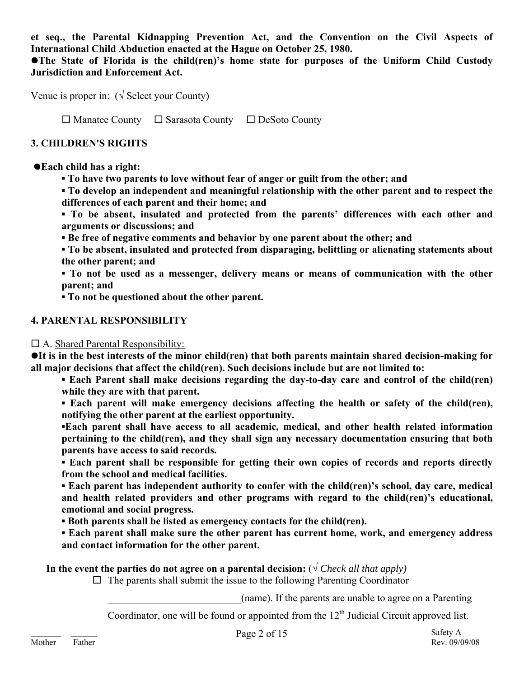**et seq., the Parental Kidnapping Prevention Act, and the Convention on the Civil Aspects of International Child Abduction enacted at the Hague on October 25, 1980.**

**•The State of Florida is the child(ren)'s home state for purposes of the Uniform Child Custody Jurisdiction and Enforcement Act.** 

Venue is proper in:  $(\sqrt{\text{Select}}\,\text{your County})$ 

 $\Box$  Manatee County  $\Box$  Sarasota County  $\Box$  DeSoto County

# **3. CHILDREN'S RIGHTS**

# z**Each child has a right:**

**▪ To have two parents to love without fear of anger or guilt from the other; and** 

**▪ To develop an independent and meaningful relationship with the other parent and to respect the differences of each parent and their home; and** 

**▪ To be absent, insulated and protected from the parents' differences with each other and arguments or discussions; and** 

**▪ Be free of negative comments and behavior by one parent about the other; and** 

**▪ To be absent, insulated and protected from disparaging, belittling or alienating statements about the other parent; and** 

**▪ To not be used as a messenger, delivery means or means of communication with the other parent; and** 

**▪ To not be questioned about the other parent.** 

# **4. PARENTAL RESPONSIBILITY**

# $\Box$  A. Shared Parental Responsibility:

**It is in the best interests of the minor child(ren) that both parents maintain shared decision-making for all major decisions that affect the child(ren). Such decisions include but are not limited to:** 

**▪ Each Parent shall make decisions regarding the day-to-day care and control of the child(ren) while they are with that parent.** 

**▪ Each parent will make emergency decisions affecting the health or safety of the child(ren), notifying the other parent at the earliest opportunity.** 

**▪Each parent shall have access to all academic, medical, and other health related information pertaining to the child(ren), and they shall sign any necessary documentation ensuring that both parents have access to said records.** 

**▪ Each parent shall be responsible for getting their own copies of records and reports directly from the school and medical facilities.** 

**▪ Each parent has independent authority to confer with the child(ren)'s school, day care, medical and health related providers and other programs with regard to the child(ren)'s educational, emotional and social progress.** 

**▪ Both parents shall be listed as emergency contacts for the child(ren).** 

**▪ Each parent shall make sure the other parent has current home, work, and emergency address and contact information for the other parent.** 

In the event the parties do not agree on a parental decision:  $(\sqrt{C \cdot \text{break all that apply}})$ 

 $\Box$  The parents shall submit the issue to the following Parenting Coordinator

\_\_\_\_\_\_\_\_\_\_\_\_\_\_\_\_\_\_\_\_\_\_\_\_\_\_(name). If the parents are unable to agree on a Parenting

Coordinator, one will be found or appointed from the  $12<sup>th</sup>$  Judicial Circuit approved list.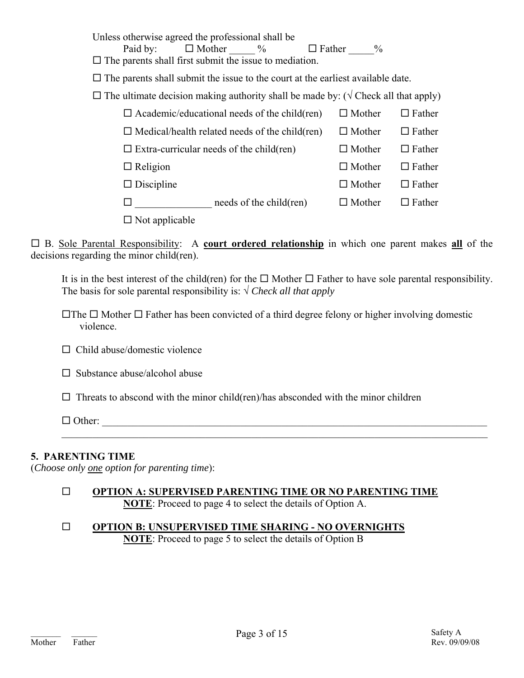Unless otherwise agreed the professional shall be Paid by:  $\Box$  Mother  $\frac{9}{6}$   $\Box$  Father  $\frac{9}{6}$  $\square$  The parents shall first submit the issue to mediation.  $\Box$  The parents shall submit the issue to the court at the earliest available date.  $\Box$  The ultimate decision making authority shall be made by: ( $\sqrt{C}$  Check all that apply)  $\Box$  Academic/educational needs of the child(ren)  $\Box$  Mother  $\Box$  Father  $\Box$  Medical/health related needs of the child(ren)  $\Box$  Mother  $\Box$  Father

 $\Box$  Extra-curricular needs of the child(ren)  $\Box$  Mother  $\Box$  Father  $\Box$  Religion  $\Box$  Mother  $\Box$  Father  $\square$  Discipline  $\square$  Mother  $\square$  Father  $\square$  needs of the child(ren)  $\square$  Mother  $\square$  Father

 $\square$  Not applicable

 B. Sole Parental Responsibility: A **court ordered relationship** in which one parent makes **all** of the decisions regarding the minor child(ren).

It is in the best interest of the child(ren) for the  $\Box$  Mother  $\Box$  Father to have sole parental responsibility. The basis for sole parental responsibility is:  $\sqrt{C \cdot C}$  *Check all that apply* 

 $\Box$  The  $\Box$  Mother  $\Box$  Father has been convicted of a third degree felony or higher involving domestic violence.

- $\Box$  Child abuse/domestic violence
- $\square$  Substance abuse/alcohol abuse

 $\Box$  Threats to abscond with the minor child(ren)/has absconded with the minor children

 $\Box$  Other:

# **5. PARENTING TIME**

(*Choose only one option for parenting time*):

#### **OPTION A: SUPERVISED PARENTING TIME OR NO PARENTING TIME NOTE**: Proceed to page 4 to select the details of Option A.

 $\mathcal{L}_\mathcal{L} = \mathcal{L}_\mathcal{L} = \mathcal{L}_\mathcal{L} = \mathcal{L}_\mathcal{L} = \mathcal{L}_\mathcal{L} = \mathcal{L}_\mathcal{L} = \mathcal{L}_\mathcal{L} = \mathcal{L}_\mathcal{L} = \mathcal{L}_\mathcal{L} = \mathcal{L}_\mathcal{L} = \mathcal{L}_\mathcal{L} = \mathcal{L}_\mathcal{L} = \mathcal{L}_\mathcal{L} = \mathcal{L}_\mathcal{L} = \mathcal{L}_\mathcal{L} = \mathcal{L}_\mathcal{L} = \mathcal{L}_\mathcal{L}$ 

 **OPTION B: UNSUPERVISED TIME SHARING - NO OVERNIGHTS NOTE**: Proceed to page 5 to select the details of Option B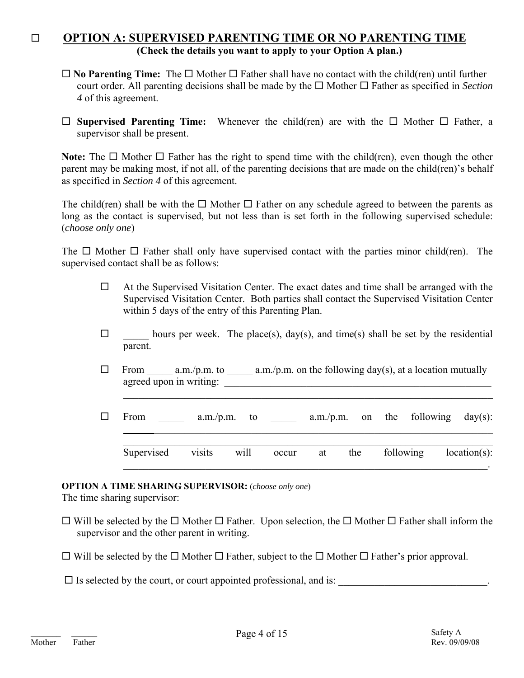# **OPTION A: SUPERVISED PARENTING TIME OR NO PARENTING TIME (Check the details you want to apply to your Option A plan.)**

- $\Box$  **No Parenting Time:** The  $\Box$  Mother  $\Box$  Father shall have no contact with the child(ren) until further court order. All parenting decisions shall be made by the  $\Box$  Mother  $\Box$  Father as specified in *Section 4* of this agreement.
- $\square$  **Supervised Parenting Time:** Whenever the child(ren) are with the  $\square$  Mother  $\square$  Father, a supervisor shall be present.

**Note:** The  $\Box$  Mother  $\Box$  Father has the right to spend time with the child(ren), even though the other parent may be making most, if not all, of the parenting decisions that are made on the child(ren)'s behalf as specified in *Section 4* of this agreement.

The child(ren) shall be with the  $\Box$  Mother  $\Box$  Father on any schedule agreed to between the parents as long as the contact is supervised, but not less than is set forth in the following supervised schedule: (*choose only one*)

The  $\Box$  Mother  $\Box$  Father shall only have supervised contact with the parties minor child(ren). The supervised contact shall be as follows:

- $\Box$  At the Supervised Visitation Center. The exact dates and time shall be arranged with the Supervised Visitation Center. Both parties shall contact the Supervised Visitation Center within 5 days of the entry of this Parenting Plan.
- $\Box$  hours per week. The place(s), day(s), and time(s) shall be set by the residential parent.
- $\Box$  From a.m./p.m. to a.m./p.m. on the following day(s), at a location mutually agreed upon in writing:

 $\mathcal{L}_\text{max} = \mathcal{L}_\text{max} = \mathcal{L}_\text{max} = \mathcal{L}_\text{max} = \mathcal{L}_\text{max} = \mathcal{L}_\text{max} = \mathcal{L}_\text{max} = \mathcal{L}_\text{max} = \mathcal{L}_\text{max} = \mathcal{L}_\text{max} = \mathcal{L}_\text{max} = \mathcal{L}_\text{max} = \mathcal{L}_\text{max} = \mathcal{L}_\text{max} = \mathcal{L}_\text{max} = \mathcal{L}_\text{max} = \mathcal{L}_\text{max} = \mathcal{L}_\text{max} = \mathcal{$ 

 $\mathcal{L}_\text{max}$  and  $\mathcal{L}_\text{max}$  and  $\mathcal{L}_\text{max}$  and  $\mathcal{L}_\text{max}$  and  $\mathcal{L}_\text{max}$  and  $\mathcal{L}_\text{max}$ 

 $\Box$  From \_\_\_\_\_\_ a.m./p.m. to \_\_\_\_\_\_ a.m./p.m. on the following day(s):  $\mathcal{L}_\mathcal{L} = \{ \mathcal{L}_\mathcal{L} = \{ \mathcal{L}_\mathcal{L} = \{ \mathcal{L}_\mathcal{L} = \{ \mathcal{L}_\mathcal{L} = \{ \mathcal{L}_\mathcal{L} = \{ \mathcal{L}_\mathcal{L} = \{ \mathcal{L}_\mathcal{L} = \{ \mathcal{L}_\mathcal{L} = \{ \mathcal{L}_\mathcal{L} = \{ \mathcal{L}_\mathcal{L} = \{ \mathcal{L}_\mathcal{L} = \{ \mathcal{L}_\mathcal{L} = \{ \mathcal{L}_\mathcal{L} = \{ \mathcal{L}_\mathcal{$  $\mathcal{L}_\text{max} = \mathcal{L}_\text{max} = \mathcal{L}_\text{max} = \mathcal{L}_\text{max} = \mathcal{L}_\text{max} = \mathcal{L}_\text{max} = \mathcal{L}_\text{max} = \mathcal{L}_\text{max} = \mathcal{L}_\text{max} = \mathcal{L}_\text{max} = \mathcal{L}_\text{max} = \mathcal{L}_\text{max} = \mathcal{L}_\text{max} = \mathcal{L}_\text{max} = \mathcal{L}_\text{max} = \mathcal{L}_\text{max} = \mathcal{L}_\text{max} = \mathcal{L}_\text{max} = \mathcal{$ Supervised visits will occur at the following location(s):

# **OPTION A TIME SHARING SUPERVISOR:** (*choose only one*)

The time sharing supervisor:

- $\Box$  Will be selected by the  $\Box$  Mother  $\Box$  Father. Upon selection, the  $\Box$  Mother  $\Box$  Father shall inform the supervisor and the other parent in writing.
- $\Box$  Will be selected by the  $\Box$  Mother  $\Box$  Father, subject to the  $\Box$  Mother  $\Box$  Father's prior approval.

 $\square$  Is selected by the court, or court appointed professional, and is: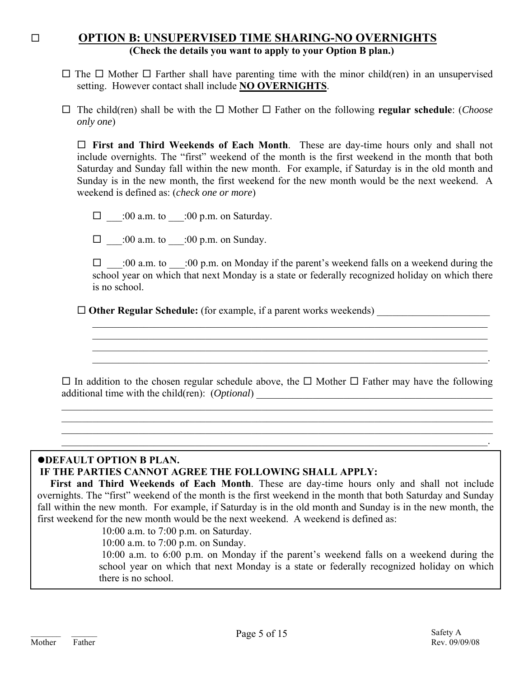# **OPTION B: UNSUPERVISED TIME SHARING-NO OVERNIGHTS (Check the details you want to apply to your Option B plan.)**

- $\Box$  The  $\Box$  Mother  $\Box$  Farther shall have parenting time with the minor child(ren) in an unsupervised setting. However contact shall include **NO OVERNIGHTS**.
- $\Box$  The child(ren) shall be with the  $\Box$  Mother  $\Box$  Father on the following **regular schedule**: (*Choose only one*)

 **First and Third Weekends of Each Month**. These are day-time hours only and shall not include overnights. The "first" weekend of the month is the first weekend in the month that both Saturday and Sunday fall within the new month. For example, if Saturday is in the old month and Sunday is in the new month, the first weekend for the new month would be the next weekend. A weekend is defined as: (*check one or more*)

 $\Box$  :00 a.m. to :00 p.m. on Saturday.

 $\Box$  :00 a.m. to :00 p.m. on Sunday.

 $\Box$  :00 a.m. to :00 p.m. on Monday if the parent's weekend falls on a weekend during the school year on which that next Monday is a state or federally recognized holiday on which there is no school.

 $\mathcal{L}_\text{max} = \mathcal{L}_\text{max} = \mathcal{L}_\text{max} = \mathcal{L}_\text{max} = \mathcal{L}_\text{max} = \mathcal{L}_\text{max} = \mathcal{L}_\text{max} = \mathcal{L}_\text{max} = \mathcal{L}_\text{max} = \mathcal{L}_\text{max} = \mathcal{L}_\text{max} = \mathcal{L}_\text{max} = \mathcal{L}_\text{max} = \mathcal{L}_\text{max} = \mathcal{L}_\text{max} = \mathcal{L}_\text{max} = \mathcal{L}_\text{max} = \mathcal{L}_\text{max} = \mathcal{$  $\mathcal{L}_\text{max} = \mathcal{L}_\text{max} = \mathcal{L}_\text{max} = \mathcal{L}_\text{max} = \mathcal{L}_\text{max} = \mathcal{L}_\text{max} = \mathcal{L}_\text{max} = \mathcal{L}_\text{max} = \mathcal{L}_\text{max} = \mathcal{L}_\text{max} = \mathcal{L}_\text{max} = \mathcal{L}_\text{max} = \mathcal{L}_\text{max} = \mathcal{L}_\text{max} = \mathcal{L}_\text{max} = \mathcal{L}_\text{max} = \mathcal{L}_\text{max} = \mathcal{L}_\text{max} = \mathcal{$ 

 $\mathcal{L}_\text{max}$  and  $\mathcal{L}_\text{max}$  and  $\mathcal{L}_\text{max}$  and  $\mathcal{L}_\text{max}$  and  $\mathcal{L}_\text{max}$  and  $\mathcal{L}_\text{max}$ 

□ Other Regular Schedule: (for example, if a parent works weekends)

 $\Box$  In addition to the chosen regular schedule above, the  $\Box$  Mother  $\Box$  Father may have the following additional time with the child(ren): (*Optional*)

 $\mathcal{L}_\mathcal{L} = \{ \mathcal{L}_\mathcal{L} = \{ \mathcal{L}_\mathcal{L} = \{ \mathcal{L}_\mathcal{L} = \{ \mathcal{L}_\mathcal{L} = \{ \mathcal{L}_\mathcal{L} = \{ \mathcal{L}_\mathcal{L} = \{ \mathcal{L}_\mathcal{L} = \{ \mathcal{L}_\mathcal{L} = \{ \mathcal{L}_\mathcal{L} = \{ \mathcal{L}_\mathcal{L} = \{ \mathcal{L}_\mathcal{L} = \{ \mathcal{L}_\mathcal{L} = \{ \mathcal{L}_\mathcal{L} = \{ \mathcal{L}_\mathcal{$  $\mathcal{L}_\mathcal{L} = \{ \mathcal{L}_\mathcal{L} = \{ \mathcal{L}_\mathcal{L} = \{ \mathcal{L}_\mathcal{L} = \{ \mathcal{L}_\mathcal{L} = \{ \mathcal{L}_\mathcal{L} = \{ \mathcal{L}_\mathcal{L} = \{ \mathcal{L}_\mathcal{L} = \{ \mathcal{L}_\mathcal{L} = \{ \mathcal{L}_\mathcal{L} = \{ \mathcal{L}_\mathcal{L} = \{ \mathcal{L}_\mathcal{L} = \{ \mathcal{L}_\mathcal{L} = \{ \mathcal{L}_\mathcal{L} = \{ \mathcal{L}_\mathcal{$  $\mathcal{L}_\mathcal{L} = \{ \mathcal{L}_\mathcal{L} = \{ \mathcal{L}_\mathcal{L} = \{ \mathcal{L}_\mathcal{L} = \{ \mathcal{L}_\mathcal{L} = \{ \mathcal{L}_\mathcal{L} = \{ \mathcal{L}_\mathcal{L} = \{ \mathcal{L}_\mathcal{L} = \{ \mathcal{L}_\mathcal{L} = \{ \mathcal{L}_\mathcal{L} = \{ \mathcal{L}_\mathcal{L} = \{ \mathcal{L}_\mathcal{L} = \{ \mathcal{L}_\mathcal{L} = \{ \mathcal{L}_\mathcal{L} = \{ \mathcal{L}_\mathcal{$  $\mathcal{L}_\mathcal{L} = \mathcal{L}_\mathcal{L} = \mathcal{L}_\mathcal{L} = \mathcal{L}_\mathcal{L} = \mathcal{L}_\mathcal{L} = \mathcal{L}_\mathcal{L} = \mathcal{L}_\mathcal{L} = \mathcal{L}_\mathcal{L} = \mathcal{L}_\mathcal{L} = \mathcal{L}_\mathcal{L} = \mathcal{L}_\mathcal{L} = \mathcal{L}_\mathcal{L} = \mathcal{L}_\mathcal{L} = \mathcal{L}_\mathcal{L} = \mathcal{L}_\mathcal{L} = \mathcal{L}_\mathcal{L} = \mathcal{L}_\mathcal{L}$ 

# **ODEFAULT OPTION B PLAN. IF THE PARTIES CANNOT AGREE THE FOLLOWING SHALL APPLY:**

 **First and Third Weekends of Each Month**. These are day-time hours only and shall not include overnights. The "first" weekend of the month is the first weekend in the month that both Saturday and Sunday fall within the new month. For example, if Saturday is in the old month and Sunday is in the new month, the first weekend for the new month would be the next weekend. A weekend is defined as:

10:00 a.m. to 7:00 p.m. on Saturday.

10:00 a.m. to 7:00 p.m. on Sunday.

 10:00 a.m. to 6:00 p.m. on Monday if the parent's weekend falls on a weekend during the school year on which that next Monday is a state or federally recognized holiday on which there is no school.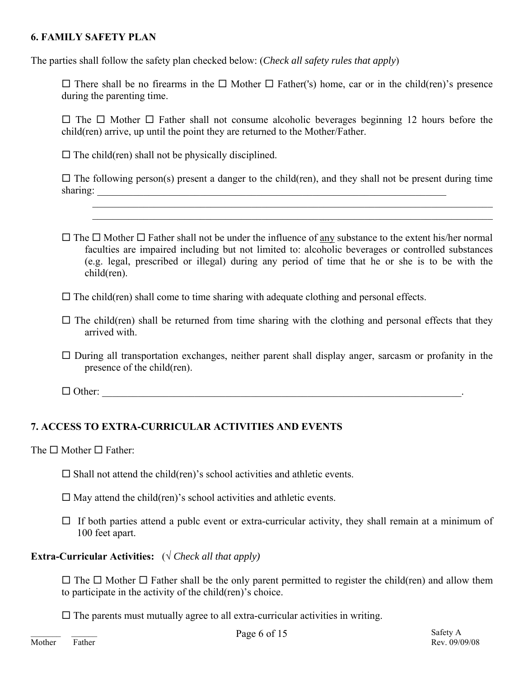# **6. FAMILY SAFETY PLAN**

The parties shall follow the safety plan checked below: (*Check all safety rules that apply*)

 $\Box$  There shall be no firearms in the  $\Box$  Mother  $\Box$  Father('s) home, car or in the child(ren)'s presence during the parenting time.

 $\Box$  The  $\Box$  Mother  $\Box$  Father shall not consume alcoholic beverages beginning 12 hours before the child(ren) arrive, up until the point they are returned to the Mother/Father.

 $\square$  The child(ren) shall not be physically disciplined.

 $\Box$  The following person(s) present a danger to the child(ren), and they shall not be present during time sharing:

 $\mathcal{L}_\mathcal{L} = \{ \mathcal{L}_\mathcal{L} = \{ \mathcal{L}_\mathcal{L} = \{ \mathcal{L}_\mathcal{L} = \{ \mathcal{L}_\mathcal{L} = \{ \mathcal{L}_\mathcal{L} = \{ \mathcal{L}_\mathcal{L} = \{ \mathcal{L}_\mathcal{L} = \{ \mathcal{L}_\mathcal{L} = \{ \mathcal{L}_\mathcal{L} = \{ \mathcal{L}_\mathcal{L} = \{ \mathcal{L}_\mathcal{L} = \{ \mathcal{L}_\mathcal{L} = \{ \mathcal{L}_\mathcal{L} = \{ \mathcal{L}_\mathcal{$  $\mathcal{L}_\mathcal{L} = \mathcal{L}_\mathcal{L} = \mathcal{L}_\mathcal{L} = \mathcal{L}_\mathcal{L} = \mathcal{L}_\mathcal{L} = \mathcal{L}_\mathcal{L} = \mathcal{L}_\mathcal{L} = \mathcal{L}_\mathcal{L} = \mathcal{L}_\mathcal{L} = \mathcal{L}_\mathcal{L} = \mathcal{L}_\mathcal{L} = \mathcal{L}_\mathcal{L} = \mathcal{L}_\mathcal{L} = \mathcal{L}_\mathcal{L} = \mathcal{L}_\mathcal{L} = \mathcal{L}_\mathcal{L} = \mathcal{L}_\mathcal{L}$ 

 $\Box$  The  $\Box$  Mother  $\Box$  Father shall not be under the influence of any substance to the extent his/her normal faculties are impaired including but not limited to: alcoholic beverages or controlled substances (e.g. legal, prescribed or illegal) during any period of time that he or she is to be with the child(ren).

 $\Box$  The child(ren) shall come to time sharing with adequate clothing and personal effects.

- $\Box$  The child(ren) shall be returned from time sharing with the clothing and personal effects that they arrived with.
- $\Box$  During all transportation exchanges, neither parent shall display anger, sarcasm or profanity in the presence of the child(ren).

 $\Box$  Other:

# **7. ACCESS TO EXTRA-CURRICULAR ACTIVITIES AND EVENTS**

The  $\Box$  Mother  $\Box$  Father:

- $\square$  Shall not attend the child(ren)'s school activities and athletic events.
- $\Box$  May attend the child(ren)'s school activities and athletic events.
- $\Box$  If both parties attend a publc event or extra-curricular activity, they shall remain at a minimum of 100 feet apart.

**Extra-Curricular Activities:**  $(\sqrt{C \cdot C})$  *Check all that apply*)

 $\Box$  The  $\Box$  Mother  $\Box$  Father shall be the only parent permitted to register the child(ren) and allow them to participate in the activity of the child(ren)'s choice.

 $\Box$  The parents must mutually agree to all extra-curricular activities in writing.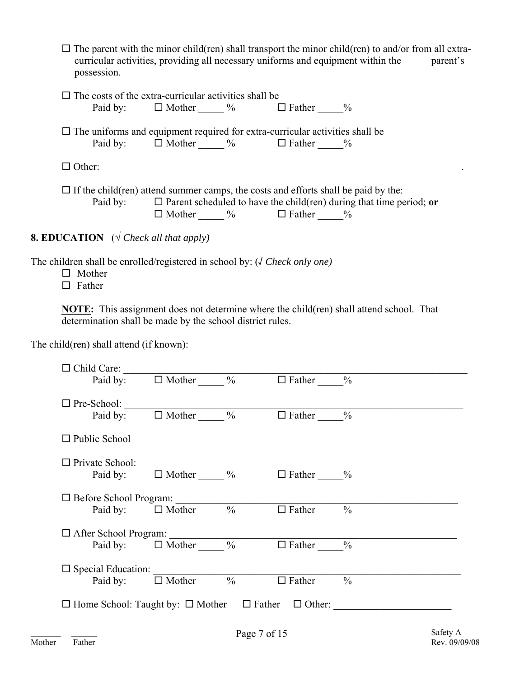| $\Box$ The parent with the minor child(ren) shall transport the minor child(ren) to and/or from all extra- |          |
|------------------------------------------------------------------------------------------------------------|----------|
| curricular activities, providing all necessary uniforms and equipment within the                           | parent's |
| possession.                                                                                                |          |

| $\Box$ The costs of the extra-curricular activities shall be<br>Paid by: $\Box$ Mother $\%$<br>$\Box$ Father $\%$                                                                                                           |
|-----------------------------------------------------------------------------------------------------------------------------------------------------------------------------------------------------------------------------|
| $\Box$ The uniforms and equipment required for extra-curricular activities shall be<br>Paid by: $\Box$ Mother $\%$ $\Box$ Father $\%$                                                                                       |
| $\Box$ Other:                                                                                                                                                                                                               |
| $\Box$ If the child (ren) attend summer camps, the costs and efforts shall be paid by the:<br>Paid by: $\Box$ Parent scheduled to have the child (ren) during that time period; or<br>$\Box$ Mother $\%$ $\Box$ Father $\%$ |
| <b>8. EDUCATION</b> ( $\sqrt{C}$ Check all that apply)                                                                                                                                                                      |

The children shall be enrolled/registered in school by: (√ *Check only one)* 

 $\Box$  Mother

 $\Box$  Father

**NOTE:** This assignment does not determine where the child(ren) shall attend school. That determination shall be made by the school district rules.

The child(ren) shall attend (if known):

|                      | $\Box$ Child Care:<br>Paid by: $\Box$ Mother $\_\_\_\%$ $\Box$ Father $\_\_\_\%$ |                                                                          |  |
|----------------------|----------------------------------------------------------------------------------|--------------------------------------------------------------------------|--|
|                      |                                                                                  |                                                                          |  |
|                      | $\Box$ Pre-School:<br>Paid by: $\Box$ Mother $\_\_\_$ % $\Box$ Father $\_\_$ %   |                                                                          |  |
| $\Box$ Public School |                                                                                  |                                                                          |  |
|                      |                                                                                  |                                                                          |  |
|                      | $\Box$ Private School:<br>Paid by: $\Box$ Mother $\Box$ % $\Box$ Father $\Box$ % |                                                                          |  |
|                      |                                                                                  |                                                                          |  |
|                      |                                                                                  | □ Before School Program:<br>Paid by: □ Mother _____ % □ Father ____%     |  |
|                      |                                                                                  | $\Box$ After School Program: $\Box$                                      |  |
|                      | Paid by: $\Box$ Mother $\_\_\_\%$ % $\Box$ Father %                              |                                                                          |  |
|                      |                                                                                  |                                                                          |  |
|                      | Paid by: $\Box$ Mother % $\Box$ Father %                                         |                                                                          |  |
|                      |                                                                                  | $\Box$ Home School: Taught by: $\Box$ Mother $\Box$ Father $\Box$ Other: |  |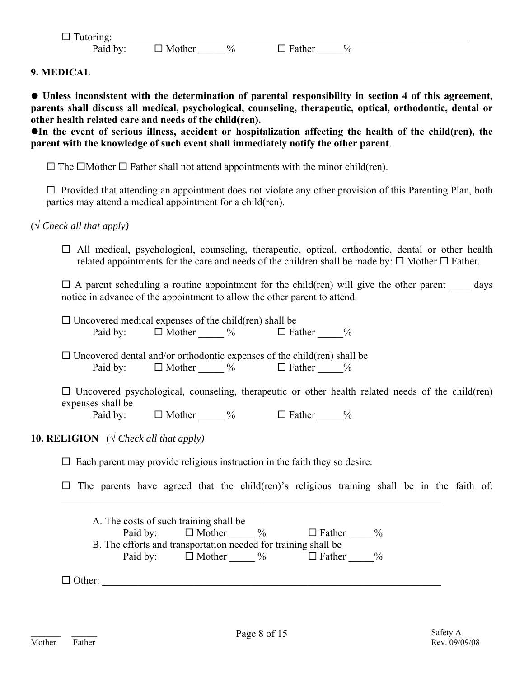| —                        |                      |               |                   |  |
|--------------------------|----------------------|---------------|-------------------|--|
| $\overline{\phantom{a}}$ | $\sim$ $\sim$<br>N/1 | $\frac{0}{0}$ | $\mathbf{0}$<br>Ώ |  |

**9. MEDICAL** 

z **Unless inconsistent with the determination of parental responsibility in section 4 of this agreement, parents shall discuss all medical, psychological, counseling, therapeutic, optical, orthodontic, dental or other health related care and needs of the child(ren).** 

**In the event of serious illness, accident or hospitalization affecting the health of the child(ren), the parent with the knowledge of such event shall immediately notify the other parent**.

 $\Box$  The  $\Box$ Mother  $\Box$  Father shall not attend appointments with the minor child(ren).

 $\Box$  Provided that attending an appointment does not violate any other provision of this Parenting Plan, both parties may attend a medical appointment for a child(ren).

(√ *Check all that apply)* 

 $\Box$  All medical, psychological, counseling, therapeutic, optical, orthodontic, dental or other health related appointments for the care and needs of the children shall be made by:  $\Box$  Mother  $\Box$  Father.

 $\Box$  A parent scheduling a routine appointment for the child(ren) will give the other parent days notice in advance of the appointment to allow the other parent to attend.

| $\Box$ Uncovered medical expenses of the child (ren) shall be                                                                 |                                                                |  |  |  |  |  |  |  |
|-------------------------------------------------------------------------------------------------------------------------------|----------------------------------------------------------------|--|--|--|--|--|--|--|
|                                                                                                                               | Paid by: $\Box$ Mother $\_\_\_\%$ $\Box$ Father $\_\_\_\%$     |  |  |  |  |  |  |  |
|                                                                                                                               |                                                                |  |  |  |  |  |  |  |
| $\Box$ Uncovered dental and/or orthodontic expenses of the child (ren) shall be                                               |                                                                |  |  |  |  |  |  |  |
|                                                                                                                               | Paid by: $\Box$ Mother $\_\_\_\%$ $\Box$ Father $\_\_\_\%$     |  |  |  |  |  |  |  |
| $\Box$ Uncovered psychological, counseling, therapeutic or other health related needs of the child (ren)<br>expenses shall be |                                                                |  |  |  |  |  |  |  |
|                                                                                                                               | Paid by: $\Box$ Mother $\_\_\_\%$ $\Box$ Father $\_\_\_\%$     |  |  |  |  |  |  |  |
| <b>10. RELIGION</b> ( $\sqrt{C}$ Check all that apply)                                                                        |                                                                |  |  |  |  |  |  |  |
| $\Box$ Each parent may provide religious instruction in the faith they so desire.                                             |                                                                |  |  |  |  |  |  |  |
| $\Box$ The parents have agreed that the child (ren)'s religious training shall be in the faith of:                            |                                                                |  |  |  |  |  |  |  |
|                                                                                                                               | A. The costs of such training shall be                         |  |  |  |  |  |  |  |
|                                                                                                                               | Paid by: $\Box$ Mother $\_\_\_\%$ $\Box$ Father $\_\_\_\%$     |  |  |  |  |  |  |  |
|                                                                                                                               | B. The efforts and transportation needed for training shall be |  |  |  |  |  |  |  |
|                                                                                                                               | Paid by: $\Box$ Mother $\_\_\_\%$ $\Box$ Father $\_\_\_\%$     |  |  |  |  |  |  |  |
| $\Box$ Other:                                                                                                                 |                                                                |  |  |  |  |  |  |  |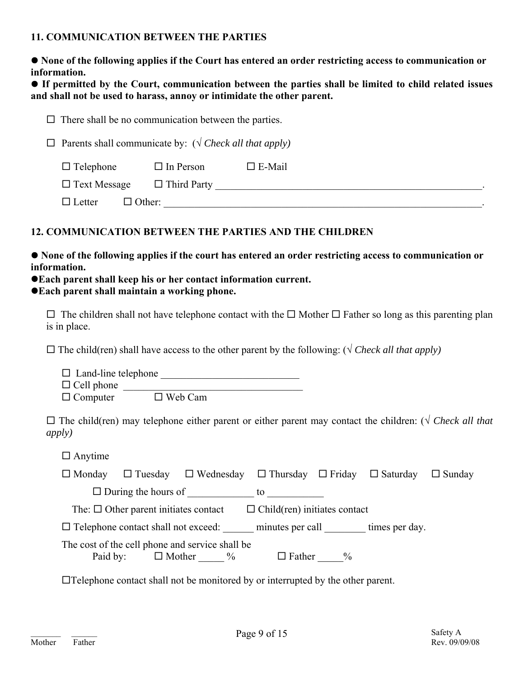# **11. COMMUNICATION BETWEEN THE PARTIES**

| • None of the following applies if the Court has entered an order restricting access to communication or |  |
|----------------------------------------------------------------------------------------------------------|--|
| information.                                                                                             |  |

**• If permitted by the Court, communication between the parties shall be limited to child related issues and shall not be used to harass, annoy or intimidate the other parent.**

|                                                                         | $\Box$ There shall be no communication between the parties. |  |  |  |  |  |
|-------------------------------------------------------------------------|-------------------------------------------------------------|--|--|--|--|--|
| $\Box$ Parents shall communicate by: ( $\sqrt{C}$ Check all that apply) |                                                             |  |  |  |  |  |
| $\Box$ Telephone<br>$\Box$ In Person<br>$\Box$ E-Mail                   |                                                             |  |  |  |  |  |
| $\Box$ Text Message                                                     | $\Box$ Third Party                                          |  |  |  |  |  |
| $\Box$ Letter                                                           | $\Box$ Other:                                               |  |  |  |  |  |

# **12. COMMUNICATION BETWEEN THE PARTIES AND THE CHILDREN**

 $\bullet$  None of the following applies if the court has entered an order restricting access to communication or **information.** 

# $\bullet$  **Each parent shall keep his or her contact information current.**

 $\bullet$  Each parent shall maintain a working phone.

 $\Box$  The children shall not have telephone contact with the  $\Box$  Mother  $\Box$  Father so long as this parenting plan is in place.

 $\Box$  The child(ren) shall have access to the other parent by the following: ( $\sqrt{C}$  *Check all that apply*)

| $\Box$ Land-line telephone |                |  |
|----------------------------|----------------|--|
| $\Box$ Cell phone          |                |  |
| $\Box$ Computer            | $\Box$ Web Cam |  |

 The child(ren) may telephone either parent or either parent may contact the children: (√ *Check all that apply)*

 $\square$  Anytime

| $\Box$ Monday | $\Box$ Tuesday                             | $\Box$ Wednesday $\Box$ Thursday $\Box$ Friday $\Box$ Saturday        |                                     |               |                | $\Box$ Sunday |
|---------------|--------------------------------------------|-----------------------------------------------------------------------|-------------------------------------|---------------|----------------|---------------|
|               | $\Box$ During the hours of                 |                                                                       | to                                  |               |                |               |
|               | The: $\Box$ Other parent initiates contact |                                                                       | $\Box$ Child(ren) initiates contact |               |                |               |
|               | $\Box$ Telephone contact shall not exceed: |                                                                       | minutes per call                    |               | times per day. |               |
| Paid by:      |                                            | The cost of the cell phone and service shall be<br>$\Box$ Mother $\%$ | $\Box$ Father                       | $\frac{0}{0}$ |                |               |

Telephone contact shall not be monitored by or interrupted by the other parent.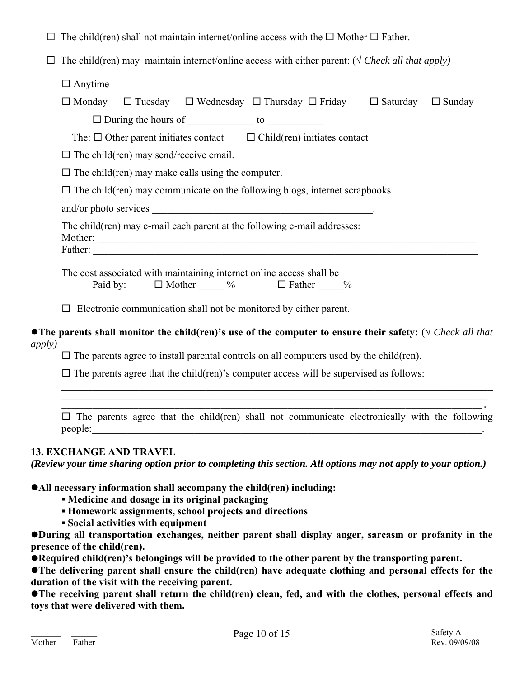|  |  |  |  | $\Box$ The child(ren) shall not maintain internet/online access with the $\Box$ Mother $\Box$ Father. |
|--|--|--|--|-------------------------------------------------------------------------------------------------------|
|--|--|--|--|-------------------------------------------------------------------------------------------------------|

 $\Box$  The child(ren) may maintain internet/online access with either parent: ( $\sqrt{C \text{theck}}$  all that apply)

 $\Box$  Anytime

|                                                                                                                                                                                                                | $\Box$ Monday $\Box$ Tuesday $\Box$ Wednesday $\Box$ Thursday $\Box$ Friday                                           |                                     |               | $\Box$ Saturday | $\Box$ Sunday |  |
|----------------------------------------------------------------------------------------------------------------------------------------------------------------------------------------------------------------|-----------------------------------------------------------------------------------------------------------------------|-------------------------------------|---------------|-----------------|---------------|--|
|                                                                                                                                                                                                                | $\Box$ During the hours of $\Box$ to $\Box$                                                                           |                                     |               |                 |               |  |
|                                                                                                                                                                                                                | The: $\Box$ Other parent initiates contact                                                                            | $\Box$ Child(ren) initiates contact |               |                 |               |  |
| $\Box$ The child (ren) may send/receive email.                                                                                                                                                                 |                                                                                                                       |                                     |               |                 |               |  |
| $\Box$ The child (ren) may make calls using the computer.                                                                                                                                                      |                                                                                                                       |                                     |               |                 |               |  |
| $\Box$ The child(ren) may communicate on the following blogs, internet scrapbooks                                                                                                                              |                                                                                                                       |                                     |               |                 |               |  |
|                                                                                                                                                                                                                |                                                                                                                       |                                     |               |                 |               |  |
| The child (ren) may e-mail each parent at the following e-mail addresses:<br>Mother:<br><u> 1980 - Johann Stoff, deutscher Stoff, der Stoff, deutscher Stoff, der Stoff, der Stoff, der Stoff, der Stoff, </u> |                                                                                                                       |                                     |               |                 |               |  |
| Father:                                                                                                                                                                                                        | <u> 1989 - Johann Stoff, deutscher Stoff, der Stoff, der Stoff, der Stoff, der Stoff, der Stoff, der Stoff, der S</u> |                                     |               |                 |               |  |
|                                                                                                                                                                                                                | The cost associated with maintaining internet online access shall be<br>Paid by: $\Box$ Mother $\%$ $\Box$ Father     |                                     | $\frac{0}{0}$ |                 |               |  |

 $\Box$  Electronic communication shall not be monitored by either parent.

z**The parents shall monitor the child(ren)'s use of the computer to ensure their safety:** (√ *Check all that apply)*

 $\mathcal{L}_\mathcal{L} = \mathcal{L}_\mathcal{L} = \mathcal{L}_\mathcal{L} = \mathcal{L}_\mathcal{L} = \mathcal{L}_\mathcal{L} = \mathcal{L}_\mathcal{L} = \mathcal{L}_\mathcal{L} = \mathcal{L}_\mathcal{L} = \mathcal{L}_\mathcal{L} = \mathcal{L}_\mathcal{L} = \mathcal{L}_\mathcal{L} = \mathcal{L}_\mathcal{L} = \mathcal{L}_\mathcal{L} = \mathcal{L}_\mathcal{L} = \mathcal{L}_\mathcal{L} = \mathcal{L}_\mathcal{L} = \mathcal{L}_\mathcal{L}$ \_\_\_\_\_\_\_\_\_\_\_\_\_\_\_\_\_\_\_\_\_\_\_\_\_\_\_\_\_\_\_\_\_\_\_\_\_\_\_\_\_\_\_\_\_\_\_\_\_\_\_\_\_\_\_\_\_\_\_\_\_\_\_\_\_\_\_\_\_\_\_\_\_\_\_\_\_\_\_\_\_\_\_

 $\Box$  The parents agree to install parental controls on all computers used by the child(ren).

 $\Box$  The parents agree that the child(ren)'s computer access will be supervised as follows:

\_\_\_\_\_\_\_\_\_\_\_\_\_\_\_\_\_\_\_\_\_\_\_\_\_\_\_\_\_\_\_\_\_\_\_\_\_\_\_\_\_\_\_\_\_\_\_\_\_\_\_\_\_\_\_\_\_\_\_\_\_\_\_\_\_\_\_\_\_\_\_\_\_\_\_\_\_\_\_\_\_\_.  $\Box$  The parents agree that the child(ren) shall not communicate electronically with the following  $people:$ 

# **13. EXCHANGE AND TRAVEL**

*(Review your time sharing option prior to completing this section. All options may not apply to your option.)* 

**• All necessary information shall accompany the child(ren) including:** 

- **▪ Medicine and dosage in its original packaging**
- **▪ Homework assignments, school projects and directions**
- **▪ Social activities with equipment**

z**During all transportation exchanges, neither parent shall display anger, sarcasm or profanity in the presence of the child(ren).** 

**• Required child(ren)'s belongings will be provided to the other parent by the transporting parent.** 

**•The delivering parent shall ensure the child(ren) have adequate clothing and personal effects for the duration of the visit with the receiving parent.** 

**•The receiving parent shall return the child(ren) clean, fed, and with the clothes, personal effects and toys that were delivered with them.**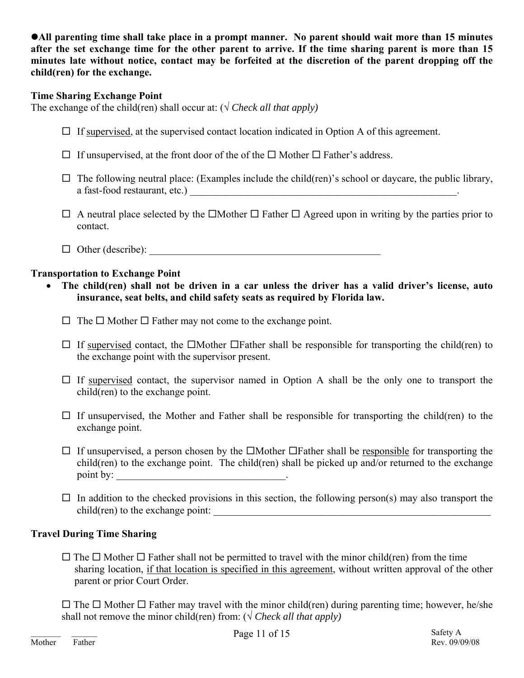**•All parenting time shall take place in a prompt manner. No parent should wait more than 15 minutes after the set exchange time for the other parent to arrive. If the time sharing parent is more than 15 minutes late without notice, contact may be forfeited at the discretion of the parent dropping off the child(ren) for the exchange.** 

# **Time Sharing Exchange Point**

The exchange of the child(ren) shall occur at:  $(\sqrt{C \cdot \text{Check all that apply}})$ 

- $\Box$  If supervised, at the supervised contact location indicated in Option A of this agreement.
- $\Box$  If unsupervised, at the front door of the of the  $\Box$  Mother  $\Box$  Father's address.
- $\Box$  The following neutral place: (Examples include the child(ren)'s school or daycare, the public library, a fast-food restaurant, etc.) \_\_\_\_\_\_\_\_\_\_\_\_\_\_\_\_\_\_\_\_\_\_\_\_\_\_\_\_\_\_\_\_\_\_\_\_\_\_\_\_\_\_\_\_\_\_\_\_\_\_\_\_.
- $\Box$  A neutral place selected by the  $\Box$ Mother  $\Box$  Father  $\Box$  Agreed upon in writing by the parties prior to contact.
- Other (describe): \_\_\_\_\_\_\_\_\_\_\_\_\_\_\_\_\_\_\_\_\_\_\_\_\_\_\_\_\_\_\_\_\_\_\_\_\_\_\_\_\_\_\_\_\_

# **Transportation to Exchange Point**

- **The child(ren) shall not be driven in a car unless the driver has a valid driver's license, auto insurance, seat belts, and child safety seats as required by Florida law.** 
	- $\Box$  The  $\Box$  Mother  $\Box$  Father may not come to the exchange point.
	- $\Box$  If supervised contact, the  $\Box$ Mother  $\Box$ Father shall be responsible for transporting the child(ren) to the exchange point with the supervisor present.
	- $\Box$  If supervised contact, the supervisor named in Option A shall be the only one to transport the child(ren) to the exchange point.
	- $\Box$  If unsupervised, the Mother and Father shall be responsible for transporting the child(ren) to the exchange point.
	- $\Box$  If unsupervised, a person chosen by the  $\Box$ Mother  $\Box$ Father shall be responsible for transporting the child(ren) to the exchange point. The child(ren) shall be picked up and/or returned to the exchange point by:
	- $\Box$  In addition to the checked provisions in this section, the following person(s) may also transport the  $child$ (ren) to the exchange point:

# **Travel During Time Sharing**

 $\Box$  The  $\Box$  Mother  $\Box$  Father shall not be permitted to travel with the minor child(ren) from the time sharing location, if that location is specified in this agreement, without written approval of the other parent or prior Court Order.

 $\Box$  The  $\Box$  Mother  $\Box$  Father may travel with the minor child(ren) during parenting time; however, he/she shall not remove the minor child(ren) from:  $(\sqrt{Check} all that apply)$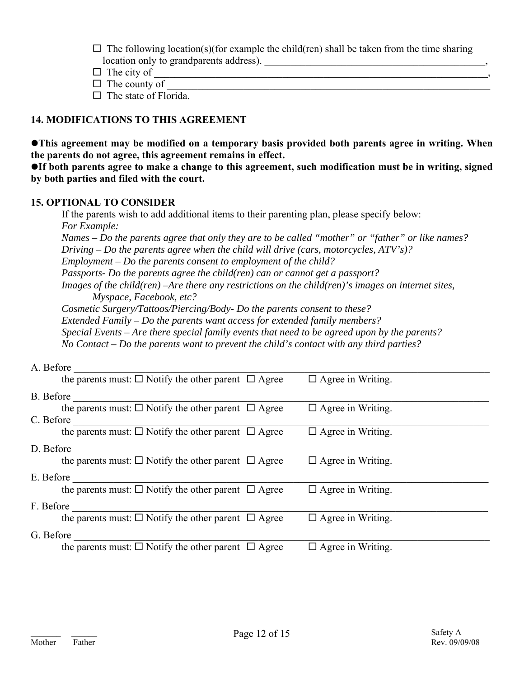$\Box$  The following location(s)(for example the child(ren) shall be taken from the time sharing location only to grandparents address).

- $\Box$  The city of
- $\Box$  The county of
- $\Box$  The state of Florida.

# **14. MODIFICATIONS TO THIS AGREEMENT**

**•This agreement may be modified on a temporary basis provided both parents agree in writing. When the parents do not agree, this agreement remains in effect.** 

**•If both parents agree to make a change to this agreement, such modification must be in writing, signed by both parties and filed with the court.** 

#### **15. OPTIONAL TO CONSIDER**

 If the parents wish to add additional items to their parenting plan, please specify below:  *For Example: Names – Do the parents agree that only they are to be called "mother" or "father" or like names? Driving – Do the parents agree when the child will drive (cars, motorcycles, ATV's)? Employment – Do the parents consent to employment of the child? Passports- Do the parents agree the child(ren) can or cannot get a passport? Images of the child(ren) –Are there any restrictions on the child(ren)'s images on internet sites, Myspace, Facebook, etc?* 

 *Cosmetic Surgery/Tattoos/Piercing/Body- Do the parents consent to these? Extended Family – Do the parents want access for extended family members? Special Events – Are there special family events that need to be agreed upon by the parents? No Contact – Do the parents want to prevent the child's contact with any third parties?* 

| A. Before                                                           |                          |
|---------------------------------------------------------------------|--------------------------|
| the parents must: $\Box$ Notify the other parent $\Box$ Agree       | $\Box$ Agree in Writing. |
| B. Before                                                           |                          |
| the parents must: $\Box$ Notify the other parent $\Box$ Agree       | $\Box$ Agree in Writing. |
| C. Before                                                           |                          |
| the parents must: $\Box$ Notify the other parent $\Box$ Agree       | $\Box$ Agree in Writing. |
| D. Before                                                           |                          |
| the parents must: $\Box$ Notify the other parent $\Box$ Agree       | $\Box$ Agree in Writing. |
| E. Before                                                           |                          |
| the parents must: $\Box$ Notify the other parent $\Box$ Agree       | $\Box$ Agree in Writing. |
| F. Before                                                           |                          |
| the parents must: $\Box$ Notify the other parent $\Box$ Agree       | $\Box$ Agree in Writing. |
| G. Before                                                           |                          |
| the parents must: $\square$ Notify the other parent $\square$ Agree | $\Box$ Agree in Writing. |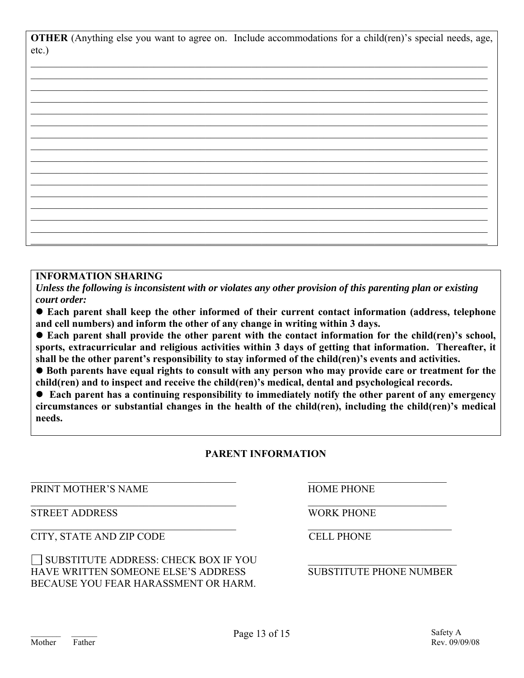**OTHER** (Anything else you want to agree on. Include accommodations for a child(ren)'s special needs, age, etc.)

#### **INFORMATION SHARING**

*Unless the following is inconsistent with or violates any other provision of this parenting plan or existing court order:* 

**• Each parent shall keep the other informed of their current contact information (address, telephone and cell numbers) and inform the other of any change in writing within 3 days.** 

● Each parent shall provide the other parent with the contact information for the child(ren)'s school, **sports, extracurricular and religious activities within 3 days of getting that information. Thereafter, it shall be the other parent's responsibility to stay informed of the child(ren)'s events and activities.** 

**• Both parents have equal rights to consult with any person who may provide care or treatment for the child(ren) and to inspect and receive the child(ren)'s medical, dental and psychological records.** 

**• Each parent has a continuing responsibility to immediately notify the other parent of any emergency circumstances or substantial changes in the health of the child(ren), including the child(ren)'s medical needs.** 

# **PARENT INFORMATION**

 $\mathcal{L}_\text{max} = \frac{1}{2} \sum_{i=1}^n \mathcal{L}_\text{max}(\mathbf{x}_i - \mathbf{y}_i)$ 

 $\mathcal{L}_\text{max}$  , and the contribution of the contribution of the contribution of the contribution of the contribution of the contribution of the contribution of the contribution of the contribution of the contribution of t

 $\mathcal{L}_\text{max}$  , and the contribution of the contribution of the contribution of the contribution of the contribution of the contribution of the contribution of the contribution of the contribution of the contribution of t

PRINT MOTHER'S NAME HOME PHONE

STREET ADDRESS WORK PHONE

CITY, STATE AND ZIP CODE CELL PHONE

 $\Box$  SUBSTITUTE ADDRESS: CHECK BOX IF YOU HAVE WRITTEN SOMEONE ELSE'S ADDRESS SUBSTITUTE PHONE NUMBER BECAUSE YOU FEAR HARASSMENT OR HARM.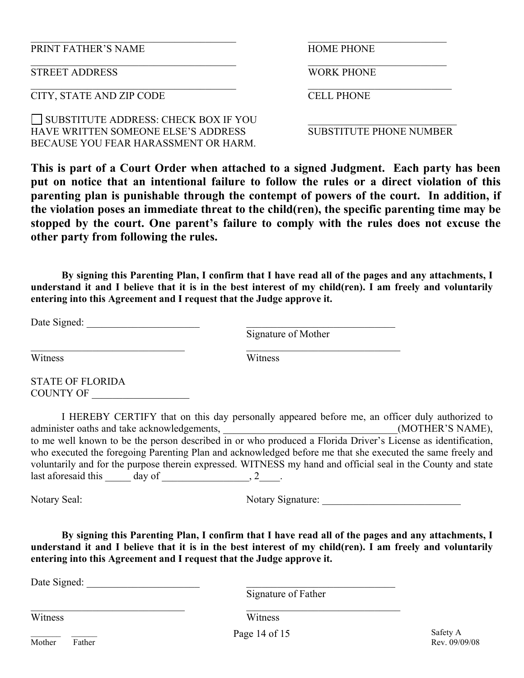PRINT FATHER'S NAME **HOME PHONE** 

**STREET ADDRESS** WORK PHONE

CITY, STATE AND ZIP CODE CELL PHONE

 $\Box$  SUBSTITUTE ADDRESS: CHECK BOX IF YOU HAVE WRITTEN SOMEONE ELSE'S ADDRESS SUBSTITUTE PHONE NUMBER BECAUSE YOU FEAR HARASSMENT OR HARM.

 $\_$  , and the contribution of the contribution of  $\mathcal{L}_\mathcal{A}$  , and the contribution of  $\mathcal{L}_\mathcal{A}$ 

**This is part of a Court Order when attached to a signed Judgment. Each party has been put on notice that an intentional failure to follow the rules or a direct violation of this parenting plan is punishable through the contempt of powers of the court. In addition, if the violation poses an immediate threat to the child(ren), the specific parenting time may be stopped by the court. One parent's failure to comply with the rules does not excuse the other party from following the rules.** 

 $\_$  , and the contribution of the contribution of  $\mathcal{L}_\mathcal{A}$  , and the contribution of  $\mathcal{L}_\mathcal{A}$ 

 $\mathcal{L}_\text{max} = \frac{1}{2} \sum_{i=1}^n \mathcal{L}_\text{max}(\mathbf{z}_i - \mathbf{z}_i)$ 

 **By signing this Parenting Plan, I confirm that I have read all of the pages and any attachments, I understand it and I believe that it is in the best interest of my child(ren). I am freely and voluntarily entering into this Agreement and I request that the Judge approve it.** 

Date Signed:

Signature of Mother

Witness Witness

 $\_$  , and the contribution of the contribution of  $\overline{a}$  , and  $\overline{a}$  , and  $\overline{a}$  , and  $\overline{a}$  , and  $\overline{a}$ 

STATE OF FLORIDA COUNTY OF

 I HEREBY CERTIFY that on this day personally appeared before me, an officer duly authorized to administer oaths and take acknowledgements, \_\_\_\_\_\_\_\_\_\_\_\_\_\_\_\_\_\_\_\_\_\_\_\_\_\_\_\_\_\_(MOTHER'S NAME), to me well known to be the person described in or who produced a Florida Driver's License as identification, who executed the foregoing Parenting Plan and acknowledged before me that she executed the same freely and voluntarily and for the purpose therein expressed. WITNESS my hand and official seal in the County and state last aforesaid this  $\_\_\_\_$  day of  $\_\_\_\_\_\_\_\_\_$ .

Notary Seal: Notary Signature:

 **By signing this Parenting Plan, I confirm that I have read all of the pages and any attachments, I understand it and I believe that it is in the best interest of my child(ren). I am freely and voluntarily entering into this Agreement and I request that the Judge approve it.** 

Date Signed:

Signature of Father

Witness Witness

and the contract of the Page 14 of 15 Safety A Safety A

 $\_$  , and the contribution of the contribution of  $\overline{a}$  , and  $\overline{a}$  , and  $\overline{a}$  , and  $\overline{a}$  , and  $\overline{a}$ 

Mother Father Rev. 09/09/08